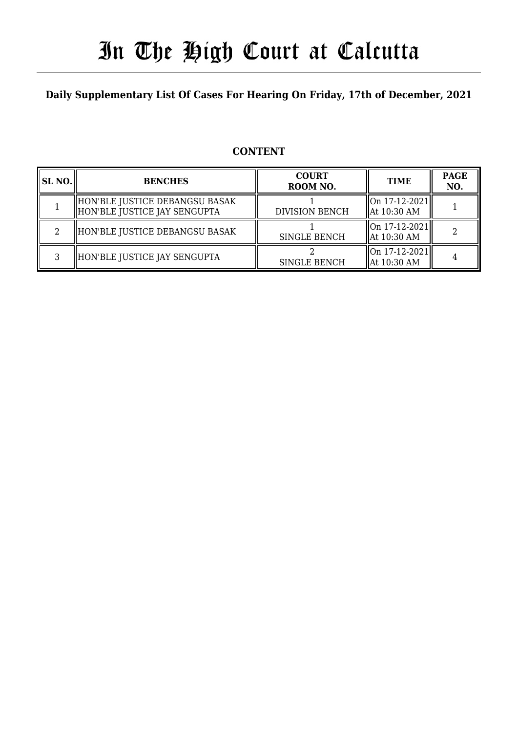# In The High Court at Calcutta

### **Daily Supplementary List Of Cases For Hearing On Friday, 17th of December, 2021**

### **CONTENT**

| SL NO. | <b>BENCHES</b>                                                 | <b>COURT</b><br>ROOM NO. | <b>TIME</b>                                                 | <b>PAGE</b><br>NO. |
|--------|----------------------------------------------------------------|--------------------------|-------------------------------------------------------------|--------------------|
|        | HON'BLE JUSTICE DEBANGSU BASAK<br>HON'BLE JUSTICE JAY SENGUPTA | <b>DIVISION BENCH</b>    | $\left  \text{On } 17 - 12 - 2021 \right $<br>  At 10:30 AM |                    |
| റ      | HON'BLE JUSTICE DEBANGSU BASAK                                 | <b>SINGLE BENCH</b>      | On 17-12-2021  <br>  At 10:30 AM                            |                    |
| ς      | HON'BLE JUSTICE JAY SENGUPTA                                   | <b>SINGLE BENCH</b>      | On 17-12-2021  <br>  At 10:30 AM                            |                    |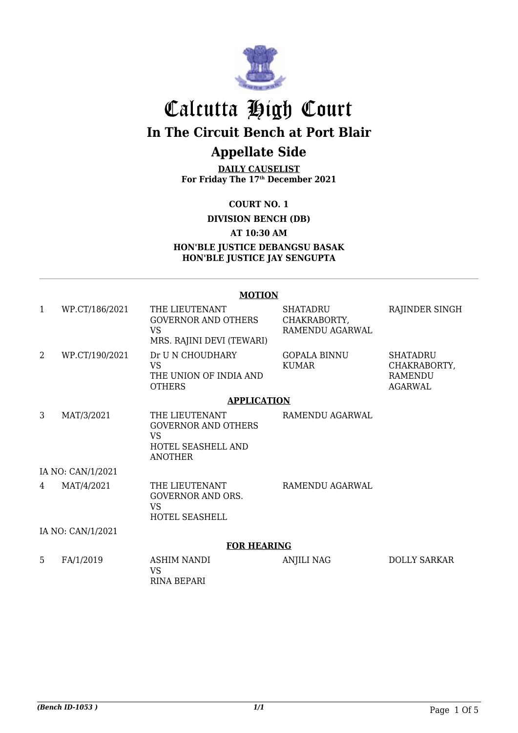

# Calcutta High Court **In The Circuit Bench at Port Blair**

# **Appellate Side**

**DAILY CAUSELIST For Friday The 17th December 2021**

**COURT NO. 1**

**DIVISION BENCH (DB)**

**AT 10:30 AM**

**HON'BLE JUSTICE DEBANGSU BASAK HON'BLE JUSTICE JAY SENGUPTA**

#### **MOTION**

| 1                 | WP.CT/186/2021     | THE LIEUTENANT<br><b>GOVERNOR AND OTHERS</b><br><b>VS</b><br>MRS. RAJINI DEVI (TEWARI)            | <b>SHATADRU</b><br>CHAKRABORTY,<br>RAMENDU AGARWAL | RAJINDER SINGH                                               |  |  |
|-------------------|--------------------|---------------------------------------------------------------------------------------------------|----------------------------------------------------|--------------------------------------------------------------|--|--|
| 2                 | WP.CT/190/2021     | Dr U N CHOUDHARY<br>VS<br>THE UNION OF INDIA AND<br><b>OTHERS</b>                                 | <b>GOPALA BINNU</b><br><b>KUMAR</b>                | <b>SHATADRU</b><br>CHAKRABORTY,<br>RAMENDU<br><b>AGARWAL</b> |  |  |
|                   |                    | <b>APPLICATION</b>                                                                                |                                                    |                                                              |  |  |
| 3                 | MAT/3/2021         | THE LIEUTENANT<br><b>GOVERNOR AND OTHERS</b><br><b>VS</b><br>HOTEL SEASHELL AND<br><b>ANOTHER</b> | RAMENDU AGARWAL                                    |                                                              |  |  |
|                   | IA NO: CAN/1/2021  |                                                                                                   |                                                    |                                                              |  |  |
| 4                 | MAT/4/2021         | THE LIEUTENANT<br><b>GOVERNOR AND ORS.</b><br><b>VS</b><br>HOTEL SEASHELL                         | RAMENDU AGARWAL                                    |                                                              |  |  |
| IA NO: CAN/1/2021 |                    |                                                                                                   |                                                    |                                                              |  |  |
|                   | <b>FOR HEARING</b> |                                                                                                   |                                                    |                                                              |  |  |
| 5                 | FA/1/2019          | <b>ASHIM NANDI</b><br><b>VS</b><br><b>RINA BEPARI</b>                                             | <b>ANJILI NAG</b>                                  | <b>DOLLY SARKAR</b>                                          |  |  |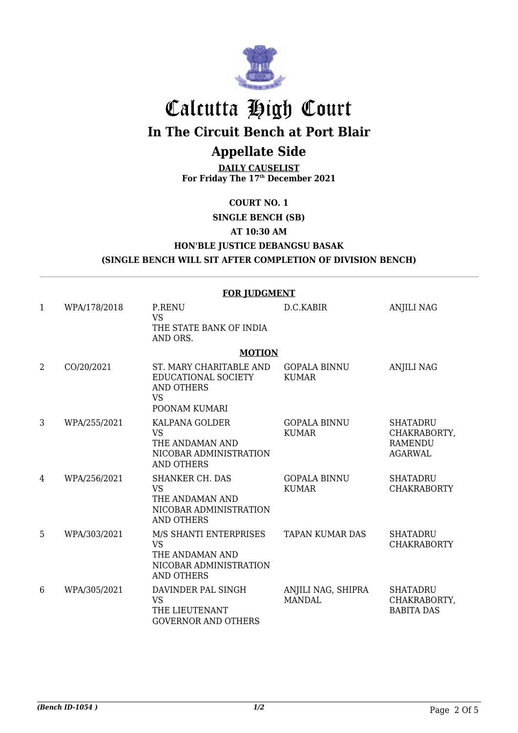

# Calcutta High Court

**In The Circuit Bench at Port Blair**

## **Appellate Side**

**DAILY CAUSELIST For Friday The 17th December 2021**

#### **COURT NO. 1**

**SINGLE BENCH (SB)**

#### **AT 10:30 AM**

**HON'BLE JUSTICE DEBANGSU BASAK**

#### **(SINGLE BENCH WILL SIT AFTER COMPLETION OF DIVISION BENCH)**

|   | <b>FOR JUDGMENT</b> |                                                                                                       |                                     |                                                                     |  |  |  |
|---|---------------------|-------------------------------------------------------------------------------------------------------|-------------------------------------|---------------------------------------------------------------------|--|--|--|
| 1 | WPA/178/2018        | <b>P.RENU</b><br><b>VS</b><br>THE STATE BANK OF INDIA<br>AND ORS.                                     | D.C.KABIR                           | <b>ANJILI NAG</b>                                                   |  |  |  |
|   |                     | <b>MOTION</b>                                                                                         |                                     |                                                                     |  |  |  |
| 2 | CO/20/2021          | ST. MARY CHARITABLE AND<br>EDUCATIONAL SOCIETY<br>AND OTHERS<br><b>VS</b><br>POONAM KUMARI            | <b>GOPALA BINNU</b><br><b>KUMAR</b> | <b>ANJILI NAG</b>                                                   |  |  |  |
| 3 | WPA/255/2021        | KALPANA GOLDER<br><b>VS</b><br>THE ANDAMAN AND<br>NICOBAR ADMINISTRATION<br><b>AND OTHERS</b>         | <b>GOPALA BINNU</b><br><b>KUMAR</b> | <b>SHATADRU</b><br>CHAKRABORTY,<br><b>RAMENDU</b><br><b>AGARWAL</b> |  |  |  |
| 4 | WPA/256/2021        | <b>SHANKER CH. DAS</b><br><b>VS</b><br>THE ANDAMAN AND<br>NICOBAR ADMINISTRATION<br><b>AND OTHERS</b> | <b>GOPALA BINNU</b><br><b>KUMAR</b> | <b>SHATADRU</b><br><b>CHAKRABORTY</b>                               |  |  |  |
| 5 | WPA/303/2021        | M/S SHANTI ENTERPRISES<br><b>VS</b><br>THE ANDAMAN AND<br>NICOBAR ADMINISTRATION<br><b>AND OTHERS</b> | <b>TAPAN KUMAR DAS</b>              | <b>SHATADRU</b><br><b>CHAKRABORTY</b>                               |  |  |  |
| 6 | WPA/305/2021        | DAVINDER PAL SINGH<br><b>VS</b><br>THE LIEUTENANT<br><b>GOVERNOR AND OTHERS</b>                       | ANJILI NAG, SHIPRA<br><b>MANDAL</b> | <b>SHATADRU</b><br>CHAKRABORTY,<br><b>BABITA DAS</b>                |  |  |  |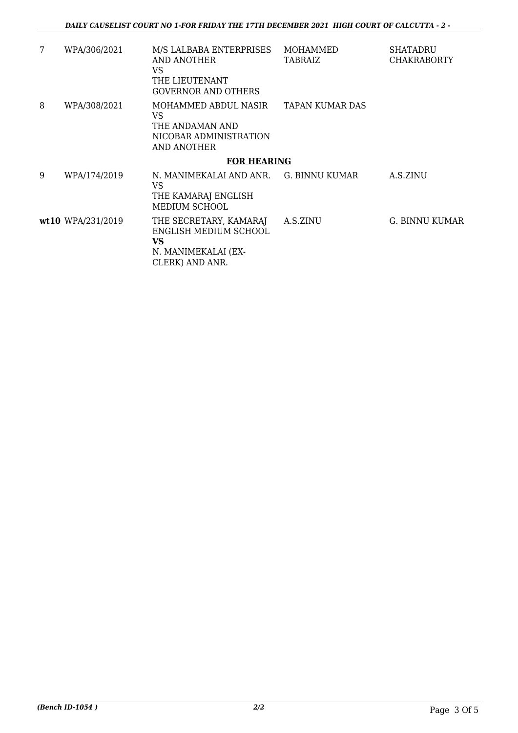| 7 | WPA/306/2021       | M/S LALBABA ENTERPRISES<br>AND ANOTHER<br>VS<br>THE LIEUTENANT<br><b>GOVERNOR AND OTHERS</b>    | MOHAMMED<br><b>TABRAIZ</b> | SHATADRU<br><b>CHAKRABORTY</b> |  |
|---|--------------------|-------------------------------------------------------------------------------------------------|----------------------------|--------------------------------|--|
| 8 | WPA/308/2021       | MOHAMMED ABDUL NASIR<br>VS<br>THE ANDAMAN AND<br>NICOBAR ADMINISTRATION<br>AND ANOTHER          | TAPAN KUMAR DAS            |                                |  |
|   | <b>FOR HEARING</b> |                                                                                                 |                            |                                |  |
| 9 | WPA/174/2019       | N. MANIMEKALAI AND ANR.<br>VS<br>THE KAMARAJ ENGLISH<br><b>MEDIUM SCHOOL</b>                    | G. BINNU KUMAR             | A.S.ZINU                       |  |
|   | wt10 WPA/231/2019  | THE SECRETARY, KAMARAJ<br>ENGLISH MEDIUM SCHOOL<br>VS<br>N. MANIMEKALAI (EX-<br>CLERK) AND ANR. | A.S.ZINU                   | G. BINNU KUMAR                 |  |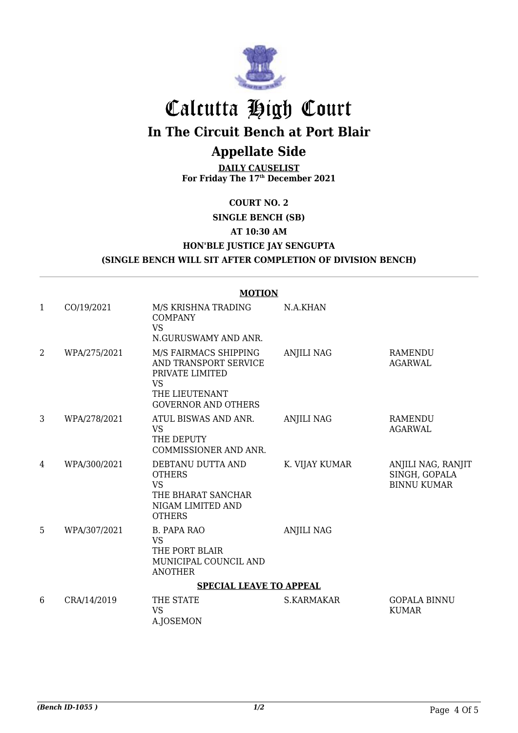

# Calcutta High Court

**In The Circuit Bench at Port Blair**

## **Appellate Side**

**DAILY CAUSELIST For Friday The 17th December 2021**

### **COURT NO. 2**

**SINGLE BENCH (SB)**

**AT 10:30 AM**

**HON'BLE JUSTICE JAY SENGUPTA**

#### **(SINGLE BENCH WILL SIT AFTER COMPLETION OF DIVISION BENCH)**

|                                | <b>MOTION</b> |                                                                                                                                |                   |                                                           |  |  |  |
|--------------------------------|---------------|--------------------------------------------------------------------------------------------------------------------------------|-------------------|-----------------------------------------------------------|--|--|--|
| $\mathbf{1}$                   | CO/19/2021    | M/S KRISHNA TRADING<br><b>COMPANY</b><br><b>VS</b><br>N.GURUSWAMY AND ANR.                                                     | N.A.KHAN          |                                                           |  |  |  |
| $\overline{2}$                 | WPA/275/2021  | M/S FAIRMACS SHIPPING<br>AND TRANSPORT SERVICE<br>PRIVATE LIMITED<br><b>VS</b><br>THE LIEUTENANT<br><b>GOVERNOR AND OTHERS</b> | <b>ANJILI NAG</b> | RAMENDU<br><b>AGARWAL</b>                                 |  |  |  |
| 3                              | WPA/278/2021  | ATUL BISWAS AND ANR.<br><b>VS</b><br>THE DEPUTY<br>COMMISSIONER AND ANR.                                                       | <b>ANJILI NAG</b> | <b>RAMENDU</b><br><b>AGARWAL</b>                          |  |  |  |
| 4                              | WPA/300/2021  | DEBTANU DUTTA AND<br><b>OTHERS</b><br><b>VS</b><br>THE BHARAT SANCHAR<br>NIGAM LIMITED AND<br><b>OTHERS</b>                    | K. VIJAY KUMAR    | ANJILI NAG, RANJIT<br>SINGH, GOPALA<br><b>BINNU KUMAR</b> |  |  |  |
| 5                              | WPA/307/2021  | <b>B. PAPA RAO</b><br><b>VS</b><br>THE PORT BLAIR<br>MUNICIPAL COUNCIL AND<br><b>ANOTHER</b>                                   | <b>ANJILI NAG</b> |                                                           |  |  |  |
| <b>SPECIAL LEAVE TO APPEAL</b> |               |                                                                                                                                |                   |                                                           |  |  |  |
| 6                              | CRA/14/2019   | THE STATE<br><b>VS</b><br>A.JOSEMON                                                                                            | <b>S.KARMAKAR</b> | <b>GOPALA BINNU</b><br><b>KUMAR</b>                       |  |  |  |